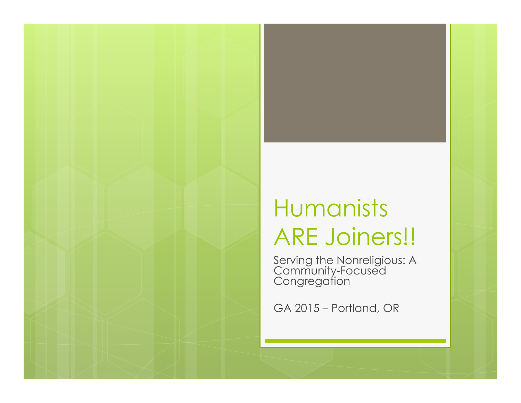#### Humanists ARE Joiners!!

Serving the Nonreligious: A Community-Focused **Congregation** 

GA 2015 – Portland, OR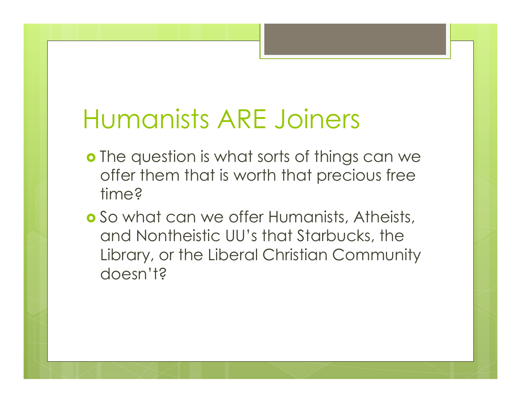## Humanists ARE Joiners

- **o** The question is what sorts of things can we offer them that is worth that precious free time?
- **o** So what can we offer Humanists, Atheists, and Nontheistic UU's that Starbucks, the Library, or the Liberal Christian Community doesn't?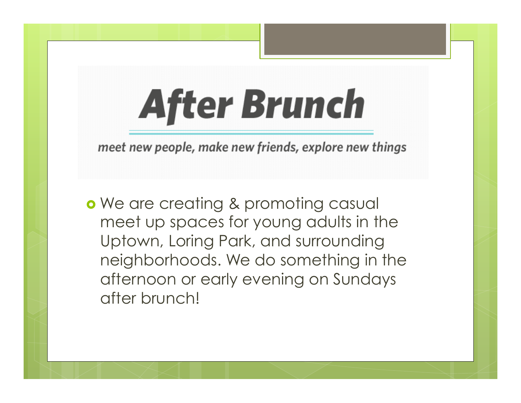# **After Brunch**

meet new people, make new friends, explore new things

**•** We are creating & promoting casual meet up spaces for young adults in the Uptown, Loring Park, and surrounding neighborhoods. We do something in the afternoon or early evening on Sundays after brunch!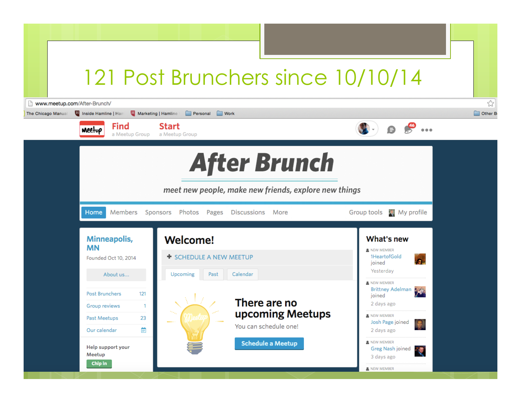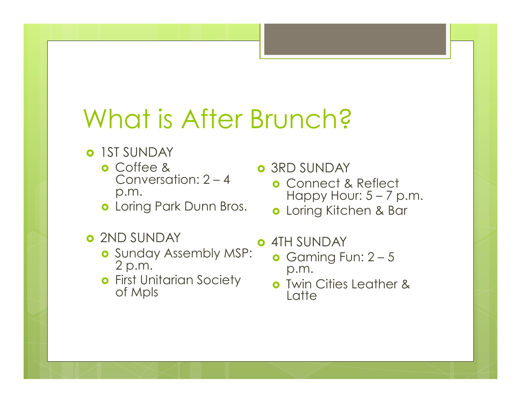## What is After Brunch?

- **o** IST SUNDAY
	- o Coffee & Conversation: 2 – 4 p.m.
	- **o** Loring Park Dunn Bros.
- **o** 2ND SUNDAY
	- **o** Sunday Assembly MSP: 2 p.m.
	- **o** First Unitarian Society of Mpls

**o** 3RD SUNDAY

- **o** Connect & Reflect Happy Hour:  $5 - 7$  p.m.
- Loring Kitchen & Bar
- 4TH SUNDAY
	- **o** Gaming Fun:  $2 5$ p.m.
	- **o** Twin Cities Leather & **Latte**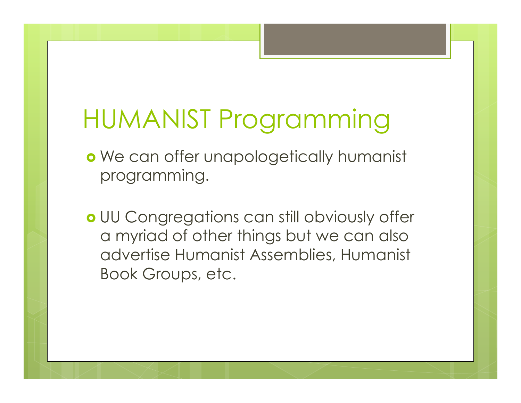# HUMANIST Programming

- o We can offer unapologetically humanist programming.
- UU Congregations can still obviously offer a myriad of other things but we can also advertise Humanist Assemblies, Humanist Book Groups, etc.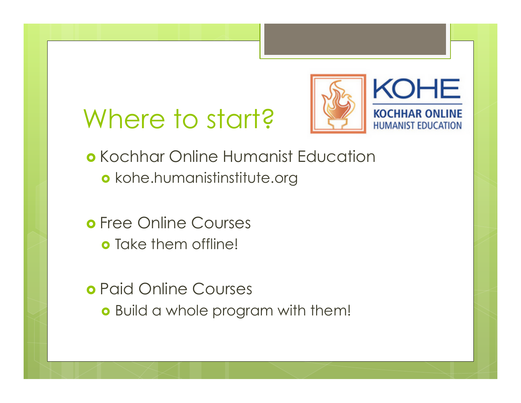### Where to start?



- **o** Kochhar Online Humanist Education kohe.humanistinstitute.org
- **o** Free Online Courses o Take them offline!
- Paid Online Courses **o** Build a whole program with them!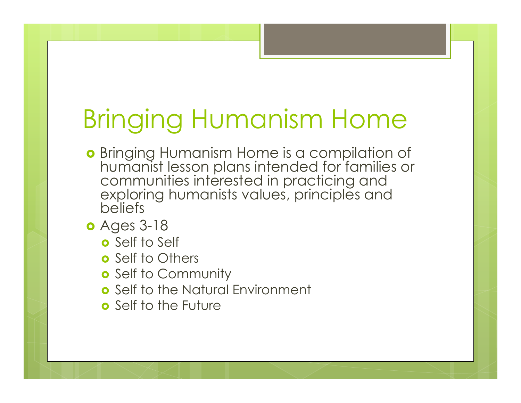# Bringing Humanism Home

- **•** Bringing Humanism Home is a compilation of humanist lesson plans intended for families or communities interested in practicing and exploring humanists values, principles and beliefs
- Ages 3-18
	- o Self to Self
	- **o** Self to Others
	- **o** Self to Community
	- **o** Self to the Natural Environment
	- Self to the Future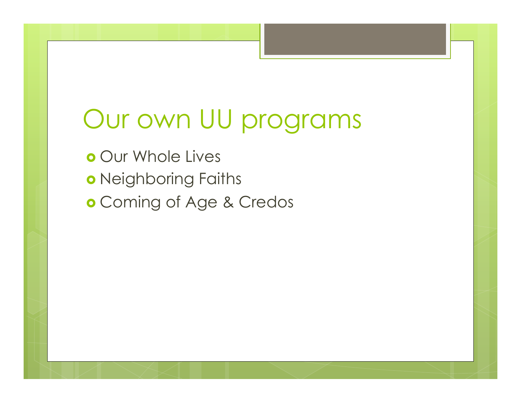#### Our own UU programs

- o Our Whole Lives
- o Neighboring Faiths
- Coming of Age & Credos